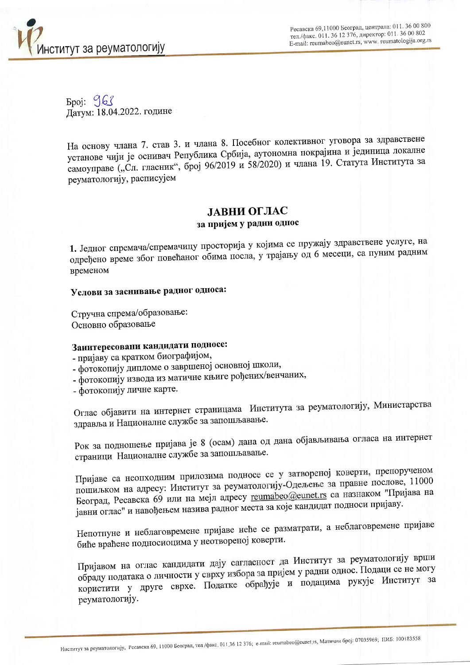

Ресавска 69,11000 Београд, централа: 011. 36 00 800 тел./факс. 011. 36 12 376, директор: 011. 36 00 802 E-mail: reumabeo@eunet.rs, www. reumatologija.org.rs

Број: 963<br>Датум: 18.04.2022. године

На основу члана 7. став 3. и члана 8. Посебног колективног уговора за здравствене установе чији је оснивач Република Србија, аутономна покрајина и јединица локалне самоуправе ("Сл. гласник", број 96/2019 и 58/2020) и члана 19. Статута Института за реуматологију, расписујем

## ЛАВНИ ОГЛАС за пријем у радни однос

1. Једног спремача/спремачицу просторија у којима се пружају здравствене услуге, на одређено време због повећаног обима посла, у трајању од 6 месеци, са пуним радним временом

## Услови за заснивање радног односа:

Стручна спрема/образовање: Основно образовање

## Заинтересовани кандидати подносе:

- пријаву са кратком биографијом,

- фотокопију дипломе о завршеној основној школи,
- фотокопију извода из матичне књиге рођених/венчаних,

- фотокопију личне карте.

Оглас објавити на интернет страницама Института за реуматологију, Министарства здравља и Националне службе за запошљавање.

Рок за подношење пријава је 8 (осам) дана од дана објављивања огласа на интернет страници Националне службе за запошљавање.

Пријаве са неопходним прилозима подносе се у затвореној коверти, препорученом пошиљком на адресу: Институт за реуматологију-Одељење за правне послове, 11000 Београд, Ресавска 69 или на мејл адресу reumabeo@eunet.rs са назнаком "Пријава на јавни оглас" и навођењем назива радног места за које кандидат подноси пријаву.

Непотпуне и неблаговремене пријаве неће се разматрати, а неблаговремене пријаве биће враћене подносиоцима у неотвореној коверти.

Пријавом на оглас кандидати дају сагласност да Институт за реуматологију врши обраду података о личности у сврху избора за пријем у радни однос. Подаци се не могу користити у друге сврхе. Податке обрађује и подацима рукује Институт за реуматологију.